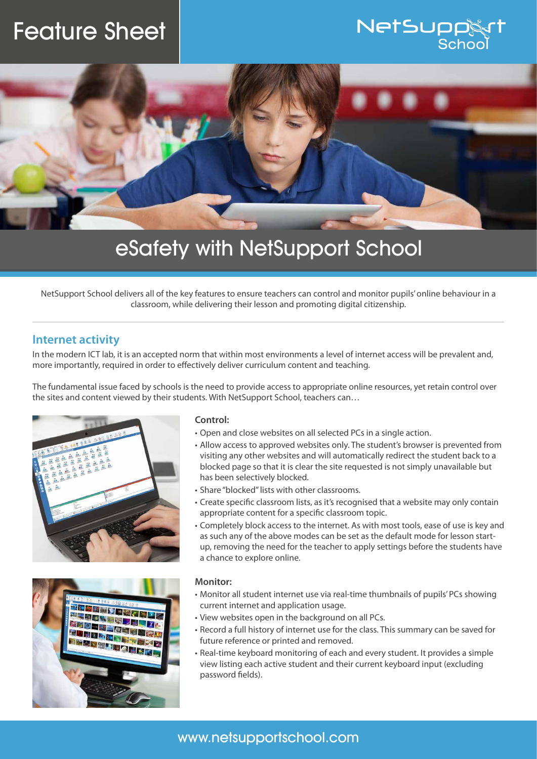# Feature Sheet





## eSafety with NetSupport School

NetSupport School delivers all of the key features to ensure teachers can control and monitor pupils' online behaviour in a classroom, while delivering their lesson and promoting digital citizenship.

#### **Internet activity**

In the modern ICT lab, it is an accepted norm that within most environments a level of internet access will be prevalent and, more importantly, required in order to effectively deliver curriculum content and teaching.

The fundamental issue faced by schools is the need to provide access to appropriate online resources, yet retain control over the sites and content viewed by their students. With NetSupport School, teachers can…





#### **Control:**

- Open and close websites on all selected PCs in a single action.
- Allow access to approved websites only. The student's browser is prevented from visiting any other websites and will automatically redirect the student back to a blocked page so that it is clear the site requested is not simply unavailable but has been selectively blocked.
- Share "blocked" lists with other classrooms.
- Create specific classroom lists, as it's recognised that a website may only contain appropriate content for a specific classroom topic.
- Completely block access to the internet. As with most tools, ease of use is key and as such any of the above modes can be set as the default mode for lesson startup, removing the need for the teacher to apply settings before the students have a chance to explore online.

#### **Monitor:**

- Monitor all student internet use via real-time thumbnails of pupils' PCs showing current internet and application usage.
- View websites open in the background on all PCs.
- Record a full history of internet use for the class. This summary can be saved for future reference or printed and removed.
- Real-time keyboard monitoring of each and every student. It provides a simple view listing each active student and their current keyboard input (excluding password fields).